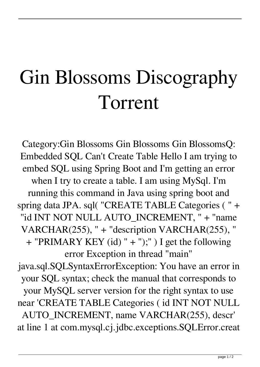## Gin Blossoms Discography Torrent

Category:Gin Blossoms Gin Blossoms Gin BlossomsQ: Embedded SQL Can't Create Table Hello I am trying to embed SQL using Spring Boot and I'm getting an error when I try to create a table. I am using MySql. I'm running this command in Java using spring boot and spring data JPA. sql( "CREATE TABLE Categories ( " + "id INT NOT NULL AUTO\_INCREMENT, " + "name VARCHAR(255), " + "description VARCHAR(255), "  $+$  "PRIMARY KEY (id) "  $+$  ");" ) I get the following error Exception in thread "main" java.sql.SQLSyntaxErrorException: You have an error in

your SQL syntax; check the manual that corresponds to your MySQL server version for the right syntax to use near 'CREATE TABLE Categories ( id INT NOT NULL AUTO\_INCREMENT, name VARCHAR(255), descr' at line 1 at com.mysql.cj.jdbc.exceptions.SQLError.creat